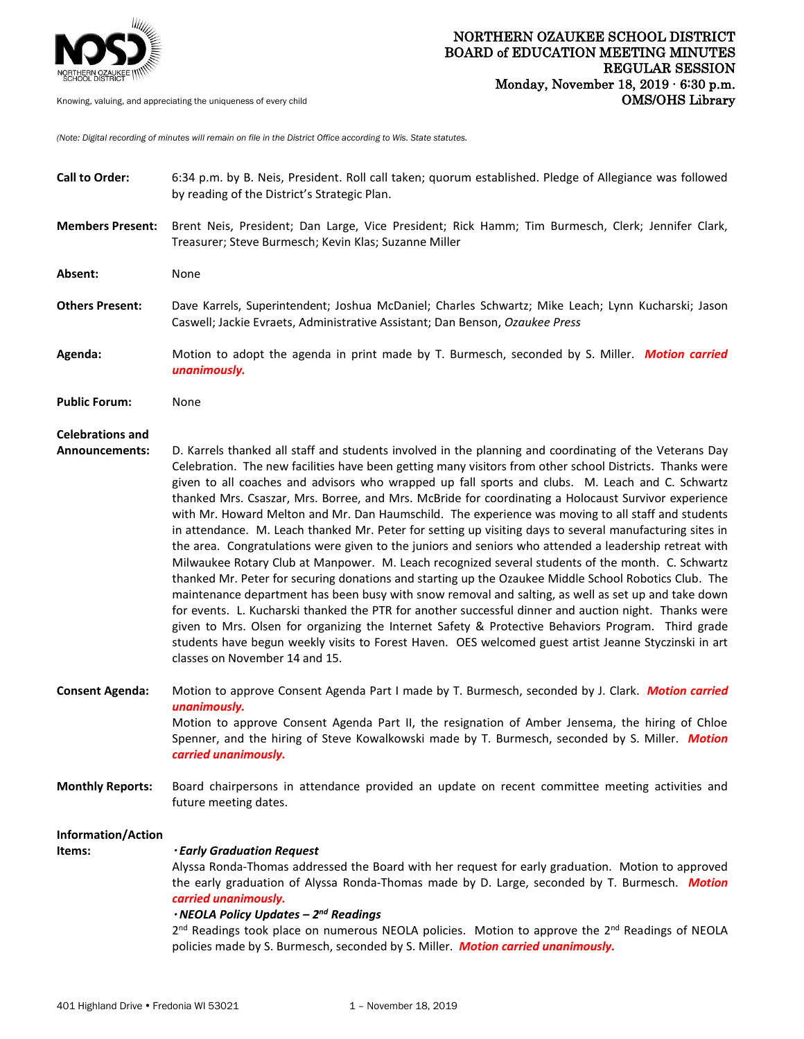

*(Note: Digital recording of minutes will remain on file in the District Office according to Wis. State statutes.* 

| <b>Call to Order:</b>                            | 6:34 p.m. by B. Neis, President. Roll call taken; quorum established. Pledge of Allegiance was followed<br>by reading of the District's Strategic Plan.                                                                                                                                                                                                                                                                                                                                                                                                                                                                                                                                                                                                                                                                                                                                                                                                                                                                                                                                                                                                                                                                                                                                                                                                                                                                                    |
|--------------------------------------------------|--------------------------------------------------------------------------------------------------------------------------------------------------------------------------------------------------------------------------------------------------------------------------------------------------------------------------------------------------------------------------------------------------------------------------------------------------------------------------------------------------------------------------------------------------------------------------------------------------------------------------------------------------------------------------------------------------------------------------------------------------------------------------------------------------------------------------------------------------------------------------------------------------------------------------------------------------------------------------------------------------------------------------------------------------------------------------------------------------------------------------------------------------------------------------------------------------------------------------------------------------------------------------------------------------------------------------------------------------------------------------------------------------------------------------------------------|
| <b>Members Present:</b>                          | Brent Neis, President; Dan Large, Vice President; Rick Hamm; Tim Burmesch, Clerk; Jennifer Clark,<br>Treasurer; Steve Burmesch; Kevin Klas; Suzanne Miller                                                                                                                                                                                                                                                                                                                                                                                                                                                                                                                                                                                                                                                                                                                                                                                                                                                                                                                                                                                                                                                                                                                                                                                                                                                                                 |
| Absent:                                          | None                                                                                                                                                                                                                                                                                                                                                                                                                                                                                                                                                                                                                                                                                                                                                                                                                                                                                                                                                                                                                                                                                                                                                                                                                                                                                                                                                                                                                                       |
| <b>Others Present:</b>                           | Dave Karrels, Superintendent; Joshua McDaniel; Charles Schwartz; Mike Leach; Lynn Kucharski; Jason<br>Caswell; Jackie Evraets, Administrative Assistant; Dan Benson, Ozaukee Press                                                                                                                                                                                                                                                                                                                                                                                                                                                                                                                                                                                                                                                                                                                                                                                                                                                                                                                                                                                                                                                                                                                                                                                                                                                         |
| Agenda:                                          | Motion to adopt the agenda in print made by T. Burmesch, seconded by S. Miller. Motion carried<br>unanimously.                                                                                                                                                                                                                                                                                                                                                                                                                                                                                                                                                                                                                                                                                                                                                                                                                                                                                                                                                                                                                                                                                                                                                                                                                                                                                                                             |
| <b>Public Forum:</b>                             | None                                                                                                                                                                                                                                                                                                                                                                                                                                                                                                                                                                                                                                                                                                                                                                                                                                                                                                                                                                                                                                                                                                                                                                                                                                                                                                                                                                                                                                       |
| <b>Celebrations and</b><br><b>Announcements:</b> | D. Karrels thanked all staff and students involved in the planning and coordinating of the Veterans Day<br>Celebration. The new facilities have been getting many visitors from other school Districts. Thanks were<br>given to all coaches and advisors who wrapped up fall sports and clubs. M. Leach and C. Schwartz<br>thanked Mrs. Csaszar, Mrs. Borree, and Mrs. McBride for coordinating a Holocaust Survivor experience<br>with Mr. Howard Melton and Mr. Dan Haumschild. The experience was moving to all staff and students<br>in attendance. M. Leach thanked Mr. Peter for setting up visiting days to several manufacturing sites in<br>the area. Congratulations were given to the juniors and seniors who attended a leadership retreat with<br>Milwaukee Rotary Club at Manpower. M. Leach recognized several students of the month. C. Schwartz<br>thanked Mr. Peter for securing donations and starting up the Ozaukee Middle School Robotics Club. The<br>maintenance department has been busy with snow removal and salting, as well as set up and take down<br>for events. L. Kucharski thanked the PTR for another successful dinner and auction night. Thanks were<br>given to Mrs. Olsen for organizing the Internet Safety & Protective Behaviors Program. Third grade<br>students have begun weekly visits to Forest Haven. OES welcomed guest artist Jeanne Styczinski in art<br>classes on November 14 and 15. |
| <b>Consent Agenda:</b>                           | Motion to approve Consent Agenda Part I made by T. Burmesch, seconded by J. Clark. Motion carried<br>unanimously.<br>Motion to approve Consent Agenda Part II, the resignation of Amber Jensema, the hiring of Chloe<br>Spenner, and the hiring of Steve Kowalkowski made by T. Burmesch, seconded by S. Miller. Motion                                                                                                                                                                                                                                                                                                                                                                                                                                                                                                                                                                                                                                                                                                                                                                                                                                                                                                                                                                                                                                                                                                                    |
| <b>Monthly Reports:</b>                          | carried unanimously.<br>Board chairpersons in attendance provided an update on recent committee meeting activities and<br>future meeting dates.                                                                                                                                                                                                                                                                                                                                                                                                                                                                                                                                                                                                                                                                                                                                                                                                                                                                                                                                                                                                                                                                                                                                                                                                                                                                                            |
| Information/Action<br>Items:                     | <b>.</b> Early Graduation Request<br>Alyssa Ronda-Thomas addressed the Board with her request for early graduation. Motion to approved<br>the early graduation of Alyssa Ronda-Thomas made by D. Large, seconded by T. Burmesch. Motion<br>carried unanimously.<br>· NEOLA Policy Updates - 2nd Readings<br>2 <sup>nd</sup> Readings took place on numerous NEOLA policies. Motion to approve the 2 <sup>nd</sup> Readings of NEOLA<br>policies made by S. Burmesch, seconded by S. Miller. Motion carried unanimously.                                                                                                                                                                                                                                                                                                                                                                                                                                                                                                                                                                                                                                                                                                                                                                                                                                                                                                                    |